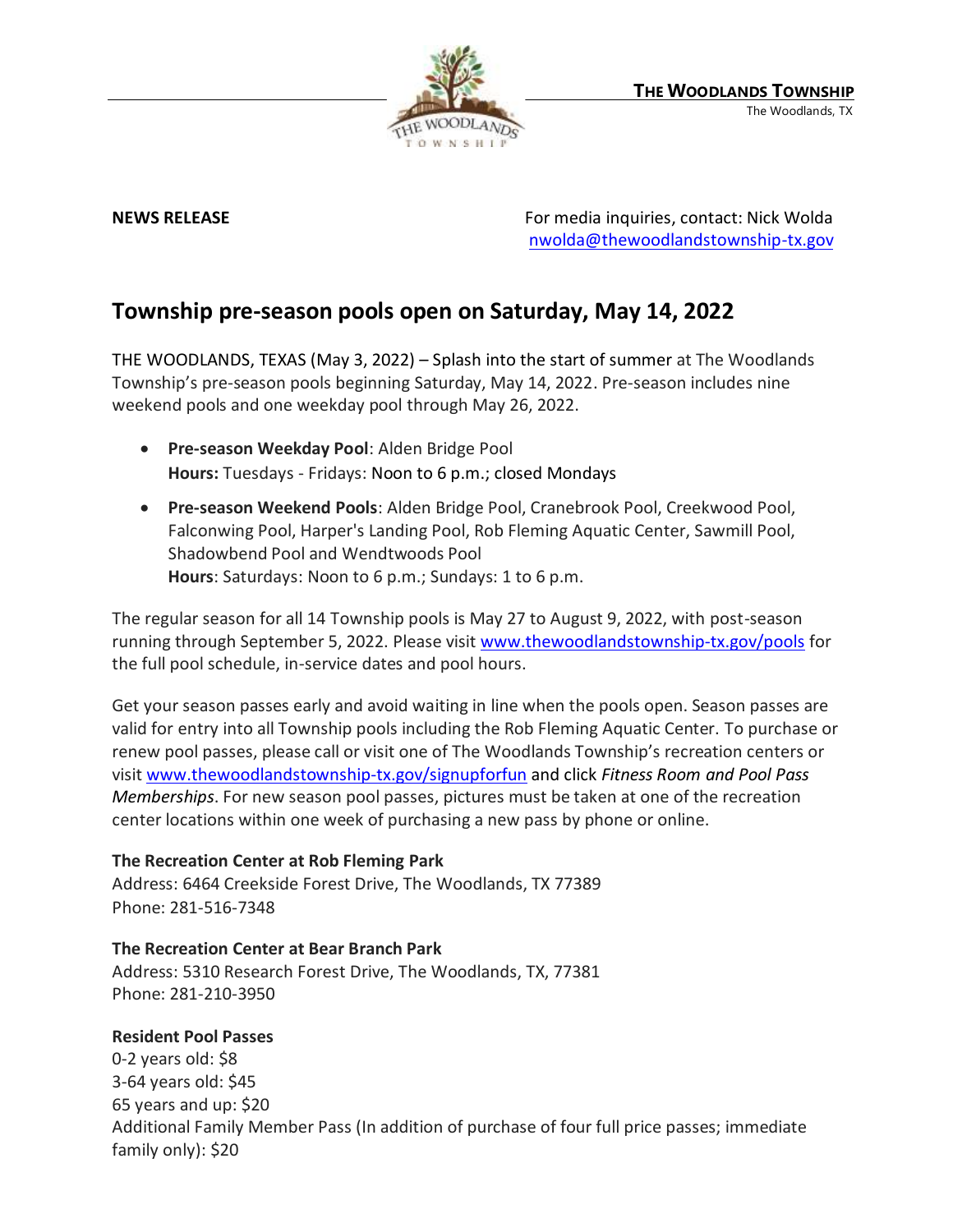

**NEWS RELEASE** For media inquiries, contact: Nick Wolda **NEWS** RELEASE [nwolda@thewoodlandstownship-tx.gov](mailto:nwolda@thewoodlandstownship-tx.gov)

# **Township pre-season pools open on Saturday, May 14, 2022**

THE WOODLANDS, TEXAS (May 3, 2022) – Splash into the start of summer at The Woodlands Township's pre-season pools beginning Saturday, May 14, 2022. Pre-season includes nine weekend pools and one weekday pool through May 26, 2022.

- **Pre-season Weekday Pool**: Alden Bridge Pool **Hours:** Tuesdays - Fridays: Noon to 6 p.m.; closed Mondays
- **Pre-season Weekend Pools**: Alden Bridge Pool, Cranebrook Pool, Creekwood Pool, Falconwing Pool, Harper's Landing Pool, Rob Fleming Aquatic Center, Sawmill Pool, Shadowbend Pool and Wendtwoods Pool **Hours**: Saturdays: Noon to 6 p.m.; Sundays: 1 to 6 p.m.

The regular season for all 14 Township pools is May 27 to August 9, 2022, with post-season running through September 5, 2022. Please visit [www.thewoodlandstownship-tx.gov/pools](http://www.thewoodlandstownship-tx.gov/pools) for the full pool schedule, in-service dates and pool hours.

Get your season passes early and avoid waiting in line when the pools open. Season passes are valid for entry into all Township pools including the Rob Fleming Aquatic Center. To purchase or renew pool passes, please call or visit one of The Woodlands Township's recreation centers or visit [www.thewoodlandstownship-tx.gov/signupforfun](http://www.thewoodlandstownship-tx.gov/signupforfun) and click *Fitness Room and Pool Pass Memberships*. For new season pool passes, pictures must be taken at one of the recreation center locations within one week of purchasing a new pass by phone or online.

### **The Recreation Center at Rob Fleming Park**

Address: 6464 Creekside Forest Drive, The Woodlands, TX 77389 Phone: 281-516-7348

## **The Recreation Center at Bear Branch Park**

Address: 5310 Research Forest Drive, The Woodlands, TX, 77381 Phone: 281-210-3950

### **Resident Pool Passes**

0-2 years old: \$8 3-64 years old: \$45 65 years and up: \$20 Additional Family Member Pass (In addition of purchase of four full price passes; immediate family only): \$20